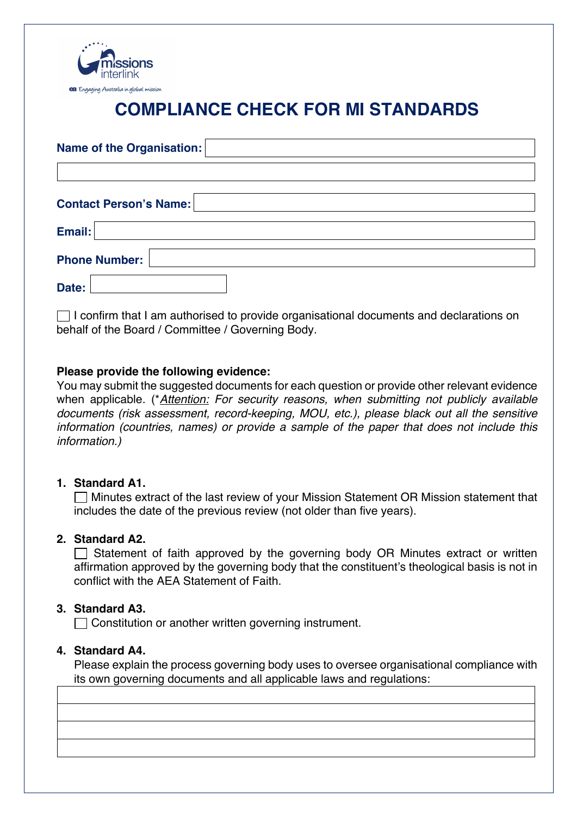

# **COMPLIANCE CHECK FOR MI STANDARDS**

| Name of the Organisation:     |  |
|-------------------------------|--|
| <b>Contact Person's Name:</b> |  |
| Email:                        |  |
| <b>Phone Number:</b>          |  |
| Date:                         |  |

 $\Box$  I confirm that I am authorised to provide organisational documents and declarations on behalf of the Board / Committee / Governing Body.

## **Please provide the following evidence:**

You may submit the suggested documents for each question or provide other relevant evidence when applicable. (\**Attention: For security reasons, when submitting not publicly available documents (risk assessment, record-keeping, MOU, etc.), please black out all the sensitive information (countries, names) or provide a sample of the paper that does not include this information.)*

#### **1. Standard A1.**

Minutes extract of the last review of your Mission Statement OR Mission statement that includes the date of the previous review (not older than five years).

## **2. Standard A2.**

 $\Box$  Statement of faith approved by the governing body OR Minutes extract or written affirmation approved by the governing body that the constituent's theological basis is not in conflict with the AEA Statement of Faith.

#### **3. Standard A3.**

Constitution or another written governing instrument.

#### **4. Standard A4.**

Please explain the process governing body uses to oversee organisational compliance with its own governing documents and all applicable laws and regulations: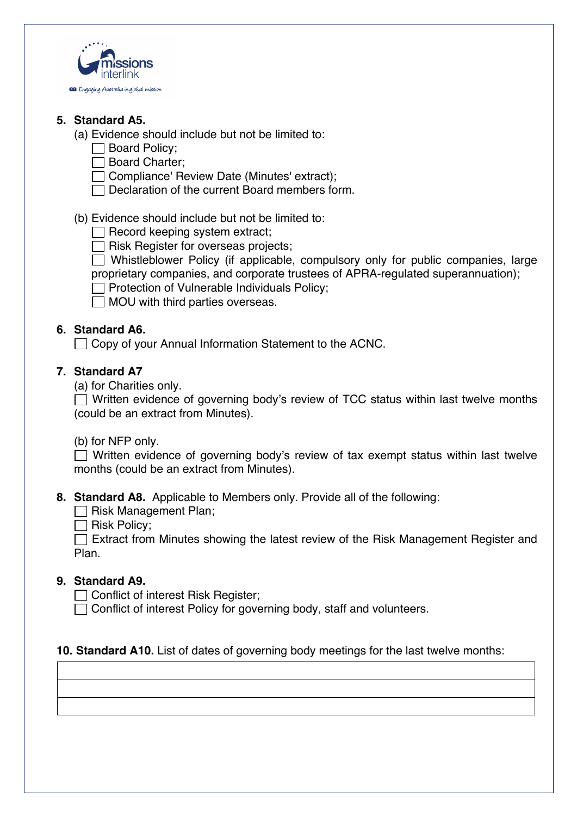

## **5. Standard A5.**

- (a) Evidence should include but not be limited to:
	- Board Policy;
	- □ Board Charter;
	- Compliance' Review Date (Minutes' extract);
	- Declaration of the current Board members form.

(b) Evidence should include but not be limited to:

 $\Box$  Record keeping system extract;

 $\Box$  Risk Register for overseas projects;

 $\Box$  Whistleblower Policy (if applicable, compulsory only for public companies, large proprietary companies, and corporate trustees of APRA-regulated superannuation);

- $\Box$  Protection of Vulnerable Individuals Policy;
- $\Box$  MOU with third parties overseas.

# **6. Standard A6.**

 $\Box$  Copy of your Annual Information Statement to the ACNC.

## **7. Standard A7**

(a) for Charities only.

 $\Box$  Written evidence of governing body's review of TCC status within last twelve months (could be an extract from Minutes).

(b) for NFP only.

 $\Box$  Written evidence of governing body's review of tax exempt status within last twelve months (could be an extract from Minutes).

**8. Standard A8.** Applicable to Members only. Provide all of the following:

 $\Box$  Risk Management Plan;

 $\Box$  Risk Policy:

Extract from Minutes showing the latest review of the Risk Management Register and Plan.

# **9. Standard A9.**

□ Conflict of interest Risk Register:

 $\Box$  Conflict of interest Policy for governing body, staff and volunteers.

## **10. Standard A10.** List of dates of governing body meetings for the last twelve months: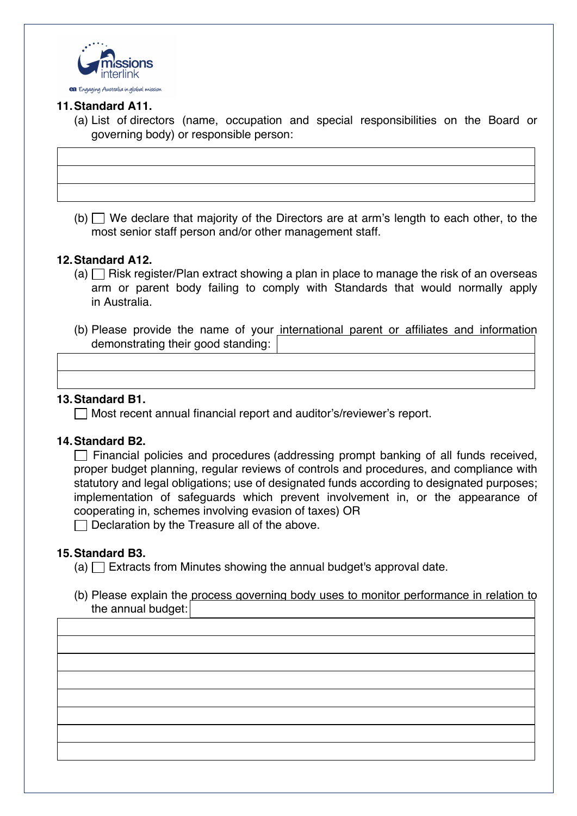

## **11.Standard A11.**

(a) List of directors (name, occupation and special responsibilities on the Board or governing body) or responsible person:

(b)  $\Box$  We declare that majority of the Directors are at arm's length to each other, to the most senior staff person and/or other management staff.

#### **12.Standard A12.**

- (a)  $\Box$  Risk register/Plan extract showing a plan in place to manage the risk of an overseas arm or parent body failing to comply with Standards that would normally apply in Australia.
- (b) Please provide the name of your international parent or affiliates and information demonstrating their good standing:

#### **13.Standard B1.**

 $\Box$  Most recent annual financial report and auditor's/reviewer's report.

#### **14.Standard B2.**

 $\Box$  Financial policies and procedures (addressing prompt banking of all funds received, proper budget planning, regular reviews of controls and procedures, and compliance with statutory and legal obligations; use of designated funds according to designated purposes; implementation of safeguards which prevent involvement in, or the appearance of cooperating in, schemes involving evasion of taxes) OR

 $\Box$  Declaration by the Treasure all of the above.

#### **15.Standard B3.**

- $(a)$  Extracts from Minutes showing the annual budget's approval date.
- (b) Please explain the process governing body uses to monitor performance in relation to the annual budget: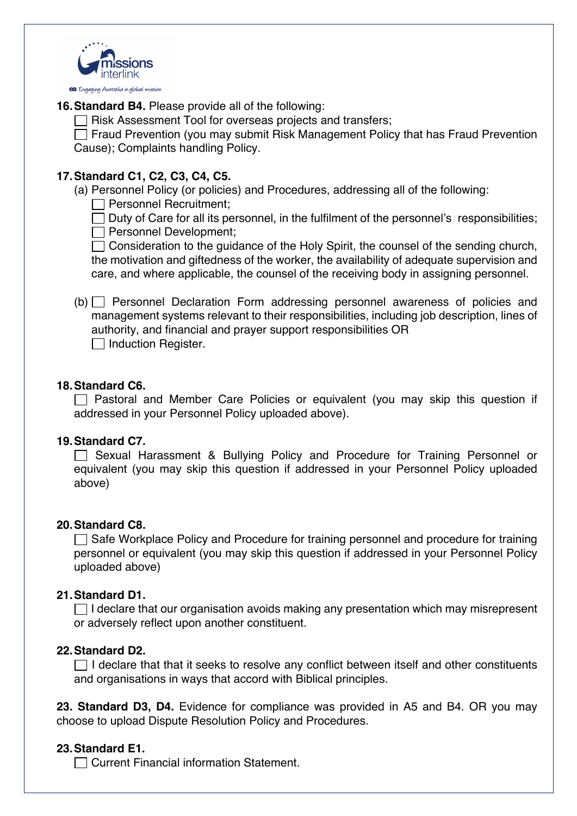

**16.Standard B4.** Please provide all of the following:

 $\Box$  Risk Assessment Tool for overseas projects and transfers;

 $\Box$  Fraud Prevention (you may submit Risk Management Policy that has Fraud Prevention Cause); Complaints handling Policy.

# **17.Standard C1, C2, C3, C4, C5.**

(a) Personnel Policy (or policies) and Procedures, addressing all of the following:

Personnel Recruitment;

 $\Box$  Duty of Care for all its personnel, in the fulfilment of the personnel's responsibilities; Personnel Development;

 $\Box$  Consideration to the guidance of the Holy Spirit, the counsel of the sending church, the motivation and giftedness of the worker, the availability of adequate supervision and care, and where applicable, the counsel of the receiving body in assigning personnel.

 $(b)$  Personnel Declaration Form addressing personnel awareness of policies and management systems relevant to their responsibilities, including job description, lines of authority, and financial and prayer support responsibilities OR  $\Box$  Induction Register.

## **18.Standard C6.**

 $\Box$  Pastoral and Member Care Policies or equivalent (you may skip this question if addressed in your Personnel Policy uploaded above).

## **19.Standard C7.**

Sexual Harassment & Bullying Policy and Procedure for Training Personnel or equivalent (you may skip this question if addressed in your Personnel Policy uploaded above)

## **20.Standard C8.**

 $\Box$  Safe Workplace Policy and Procedure for training personnel and procedure for training personnel or equivalent (you may skip this question if addressed in your Personnel Policy uploaded above)

## **21.Standard D1.**

 $\Box$  I declare that our organisation avoids making any presentation which may misrepresent or adversely reflect upon another constituent.

## **22.Standard D2.**

 $\Box$  I declare that that it seeks to resolve any conflict between itself and other constituents and organisations in ways that accord with Biblical principles.

**23. Standard D3, D4.** Evidence for compliance was provided in A5 and B4. OR you may choose to upload Dispute Resolution Policy and Procedures.

## **23.Standard E1.**

□ Current Financial information Statement.